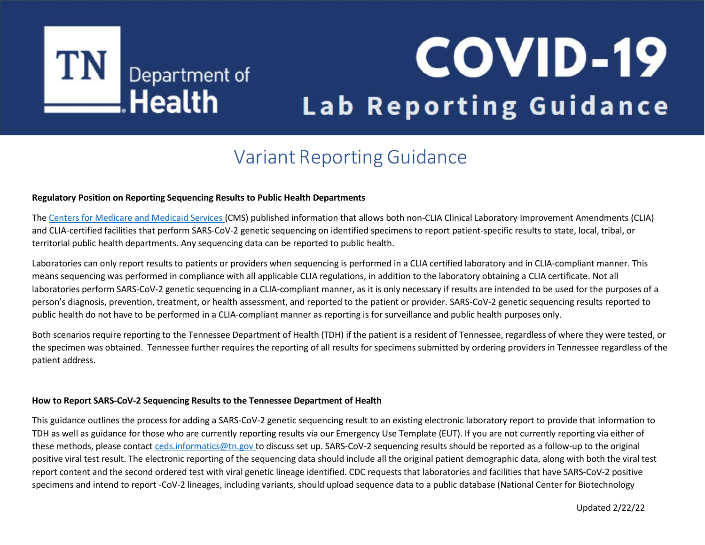# TN Department of

## **COVID-19** Lab Reporting Guidance

### Variant Reporting Guidance

#### **Regulatory Position on Reporting Sequencing Results to Public Health Departments**

The Centers for [Medicare](https://www.cms.gov/files/document/clia-sars-cov-2-variant.pdf) and Medicaid Services (CMS) published information that allows both non-CLIA Clinical Laboratory Improvement Amendments (CLIA) and CLIA-certified facilities that perform SARS-CoV-2 genetic sequencing on identified specimens to report patient-specific results to state, local, tribal, or territorial public health departments. Any sequencing data can be reported to public health.

Laboratories can only report results to patients or providers when sequencing is performed in a CLIA certified laboratory and in CLIA-compliant manner. This means sequencing was performed in compliance with all applicable CLIA regulations, in addition to the laboratory obtaining a CLIA certificate. Not all laboratories perform SARS-CoV-2 genetic sequencing in a CLIA-compliant manner, as it is only necessary if results are intended to be used for the purposes of a person's diagnosis, prevention, treatment, or health assessment, and reported to the patient or provider. SARS-CoV-2 genetic sequencing results reported to public health do not have to be performed in a CLIA-compliant manner as reporting is for surveillance and public health purposes only.

Both scenarios require reporting to the Tennessee Department of Health (TDH) if the patient is a resident of Tennessee, regardless of where they were tested, or the specimen was obtained. Tennessee further requires the reporting of all results for specimens submitted by ordering providers in Tennessee regardless of the patient address.

#### **How to Report SARS-CoV-2 Sequencing Results to the Tennessee Department of Health**

This guidance outlines the process for adding a SARS-CoV-2 genetic sequencing result to an existing electronic laboratory report to provide that information to TDH as well as guidance for those who are currently reporting results via our Emergency Use Template (EUT). If you are not currently reporting via either of these methods, please contact [ceds.informatics@tn.gov](mailto:ceds.informatics@tn.gov) to discuss set up. SARS-CoV-2 sequencing results should be reported as a follow-up to the original positive viral test result. The electronic reporting of the sequencing data should include all the original patient demographic data, along with both the viral test report content and the second ordered test with viral genetic lineage identified. CDC requests that laboratories and facilities that have SARS-CoV-2 positive specimens and intend to report -CoV-2 lineages, including variants, should upload sequence data to a public database (National Center for Biotechnology

Updated 2/22/22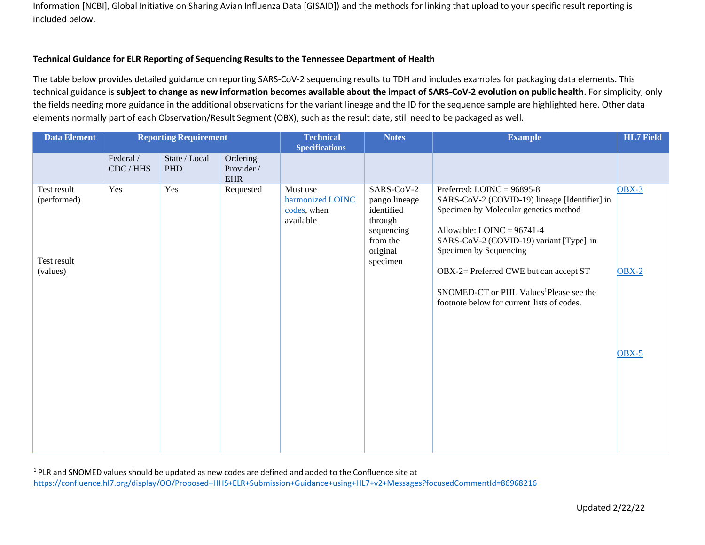Information [NCBI], Global Initiative on Sharing Avian Influenza Data [GISAID]) and the methods for linking that upload to your specific result reporting is included below.

#### **Technical Guidance for ELR Reporting of Sequencing Results to the Tennessee Department of Health**

The table below provides detailed guidance on reporting SARS-CoV-2 sequencing results to TDH and includes examples for packaging data elements. This technical guidance is subject to change as new information becomes available about the impact of SARS-CoV-2 evolution on public health. For simplicity, only the fields needing more guidance in the additional observations for the variant lineage and the ID for the sequence sample are highlighted here. Other data elements normally part of each Observation/Result Segment (OBX), such as the result date, still need to be packaged as well.

| <b>Data Element</b>                                   | <b>Reporting Requirement</b> |                             |                                      | <b>Technical</b><br><b>Specifications</b>                | <b>Notes</b>                                                                                           | <b>Example</b>                                                                                                                                                                                                                                                                                                                                                             | <b>HL7</b> Field   |
|-------------------------------------------------------|------------------------------|-----------------------------|--------------------------------------|----------------------------------------------------------|--------------------------------------------------------------------------------------------------------|----------------------------------------------------------------------------------------------------------------------------------------------------------------------------------------------------------------------------------------------------------------------------------------------------------------------------------------------------------------------------|--------------------|
|                                                       | Federal /<br>CDC / HHS       | State / Local<br><b>PHD</b> | Ordering<br>Provider /<br><b>EHR</b> |                                                          |                                                                                                        |                                                                                                                                                                                                                                                                                                                                                                            |                    |
| Test result<br>(performed)<br>Test result<br>(values) | Yes                          | Yes                         | Requested                            | Must use<br>harmonized LOINC<br>codes, when<br>available | SARS-CoV-2<br>pango lineage<br>identified<br>through<br>sequencing<br>from the<br>original<br>specimen | Preferred: $LOINC = 96895-8$<br>SARS-CoV-2 (COVID-19) lineage [Identifier] in<br>Specimen by Molecular genetics method<br>Allowable: $LOINC = 96741-4$<br>SARS-CoV-2 (COVID-19) variant [Type] in<br>Specimen by Sequencing<br>OBX-2= Preferred CWE but can accept ST<br>SNOMED-CT or PHL Values <sup>1</sup> Please see the<br>footnote below for current lists of codes. | $OBX-3$<br>$OBX-2$ |
|                                                       |                              |                             |                                      |                                                          |                                                                                                        |                                                                                                                                                                                                                                                                                                                                                                            | $OBX-5$            |

<sup>1</sup> PLR and SNOMED values should be updated as new codes are defined and added to the Confluence site at <https://confluence.hl7.org/display/OO/Proposed+HHS+ELR+Submission+Guidance+using+HL7+v2+Messages?focusedCommentId=86968216>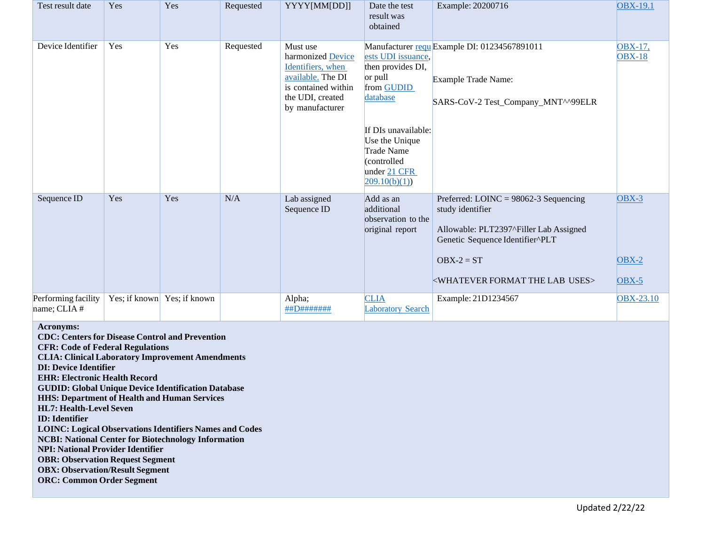| Test result date                                                                                                                                                                                                                                                                                                                                                                                                                                                                                                                                                                                                                                                                                                                                                               | Yes | Yes                         | Requested | YYYY[MM[DD]]                                                                                                                          | Date the test<br>result was<br>obtained                                                                                                                                                     | Example: 20200716                                                                                                                                                                                                        | <b>OBX-19.1</b>               |
|--------------------------------------------------------------------------------------------------------------------------------------------------------------------------------------------------------------------------------------------------------------------------------------------------------------------------------------------------------------------------------------------------------------------------------------------------------------------------------------------------------------------------------------------------------------------------------------------------------------------------------------------------------------------------------------------------------------------------------------------------------------------------------|-----|-----------------------------|-----------|---------------------------------------------------------------------------------------------------------------------------------------|---------------------------------------------------------------------------------------------------------------------------------------------------------------------------------------------|--------------------------------------------------------------------------------------------------------------------------------------------------------------------------------------------------------------------------|-------------------------------|
| Device Identifier                                                                                                                                                                                                                                                                                                                                                                                                                                                                                                                                                                                                                                                                                                                                                              | Yes | Yes                         | Requested | Must use<br>harmonized Device<br>Identifiers, when<br>available. The DI<br>is contained within<br>the UDI, created<br>by manufacturer | ests UDI issuance,<br>then provides DI,<br>or pull<br>from GUDID<br>database<br>If DIs unavailable:<br>Use the Unique<br><b>Trade Name</b><br>(controlled<br>under 21 CFR<br> 209.10(b)(1)) | Manufacturer requ Example DI: 01234567891011<br>Example Trade Name:<br>SARS-CoV-2 Test_Company_MNT^^99ELR                                                                                                                | OBX-17,<br><b>OBX-18</b>      |
| Sequence ID                                                                                                                                                                                                                                                                                                                                                                                                                                                                                                                                                                                                                                                                                                                                                                    | Yes | Yes                         | N/A       | Lab assigned<br>Sequence ID                                                                                                           | Add as an<br>additional<br>observation to the<br>original report                                                                                                                            | Preferred: LOINC = $98062-3$ Sequencing<br>study identifier<br>Allowable: PLT2397^Filler Lab Assigned<br>Genetic Sequence Identifier^PLT<br>$OBX-2 = ST$<br><b><whatever format="" lab="" the="" uses=""></whatever></b> | $OBX-3$<br>$OBX-2$<br>$OBX-5$ |
| Performing facility<br>name; CLIA #<br>Acronyms:<br><b>CDC: Centers for Disease Control and Prevention</b><br><b>CFR: Code of Federal Regulations</b><br><b>CLIA: Clinical Laboratory Improvement Amendments</b><br><b>DI: Device Identifier</b><br><b>EHR: Electronic Health Record</b><br><b>GUDID: Global Unique Device Identification Database</b><br><b>HHS: Department of Health and Human Services</b><br><b>HL7: Health-Level Seven</b><br><b>ID</b> : Identifier<br><b>LOINC: Logical Observations Identifiers Names and Codes</b><br><b>NCBI: National Center for Biotechnology Information</b><br><b>NPI: National Provider Identifier</b><br><b>OBR: Observation Request Segment</b><br><b>OBX: Observation/Result Segment</b><br><b>ORC: Common Order Segment</b> |     | Yes; if known Yes; if known |           | Alpha;<br>##D#######                                                                                                                  | <b>CLIA</b><br><b>Laboratory Search</b>                                                                                                                                                     | Example: 21D1234567                                                                                                                                                                                                      | <b>OBX-23.10</b>              |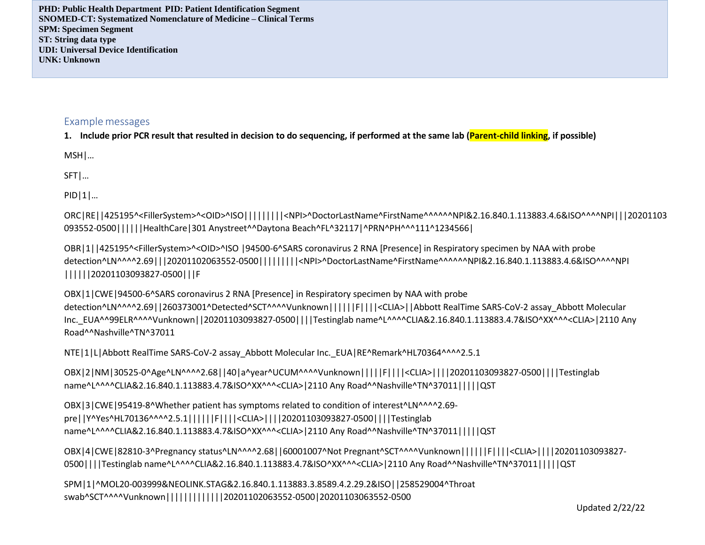**PHD: Public Health Department PID: Patient Identification Segment SNOMED-CT: Systematized Nomenclature of Medicine – Clinical Terms SPM: Specimen Segment ST: String data type UDI: Universal Device Identification UNK: Unknown**

#### Examplemessages

1. Include prior PCR result that resulted in decision to do sequencing, if performed at the same lab (Parent-child linking, if possible)

MSH|…

SFT|…

PID|1|…

ORC|RE||425195^<FillerSystem>^<OID>^ISO|||||||||<NPI>^DoctorLastName^FirstName^^^^^^NPI&2.16.840.1.113883.4.6&ISO^^^^NPI|||20201103 093552-0500||||||HealthCare|301 Anystreet^^Daytona Beach^FL^32117|^PRN^PH^^^111^1234566|

OBR|1||425195^<FillerSystem>^<OID>^ISO |94500-6^SARS coronavirus 2 RNA [Presence] in Respiratory specimen by NAA with probe detection^LN^^^^2.69|||20201102063552-0500|||||||||<NPI>^DoctorLastName^FirstName^^^^^^NPI&2.16.840.1.113883.4.6&ISO^^^^NPI ||||||20201103093827-0500|||F

OBX|1|CWE|94500-6^SARS coronavirus 2 RNA [Presence] in Respiratory specimen by NAA with probe detection^LN^^^^2.69||260373001^Detected^SCT^^^^Vunknown|||||F||||<CLIA>||Abbott RealTime SARS-CoV-2 assay\_Abbott Molecular Inc.\_EUA^^99ELR^^^^Vunknown||20201103093827-0500||||Testinglab name^L^^^^CLIA&2.16.840.1.113883.4.7&ISO^XX^^^<CLIA>|2110 Any Road^^Nashville^TN^37011

NTE|1|L|Abbott RealTime SARS-CoV-2 assay\_Abbott Molecular Inc.\_EUA|RE^Remark^HL70364^^^^2.5.1

```
OBX|2|NM|30525-0^Age^LN^^^^2.68||40|a^year^UCUM^^^^Vunknown|||||F||||<CLIA>||||20201103093827-0500||||Testinglab
name^L^^^^CLIA&2.16.840.1.113883.4.7&ISO^XX^^^<CLIA>|2110 Any Road^^Nashville^TN^37011|||||QST
```
OBX|3|CWE|95419-8^Whether patient has symptoms related to condition of interest^LN^^^^2.69 pre||Y^Yes^HL70136^^^^2.5.1||||||F||||<CLIA>||||20201103093827-0500||||Testinglab name^L^^^^CLIA&2.16.840.1.113883.4.7&ISO^XX^^^<CLIA>|2110 Any Road^^Nashville^TN^37011|||||QST

OBX|4|CWE|82810-3^Pregnancy status^LN^^^^2.68||60001007^Not Pregnant^SCT^^^^Vunknown||||||F||||<CLIA>||||20201103093827- 0500||||Testinglab name^L^^^^CLIA&2.16.840.1.113883.4.7&ISO^XX^^^<CLIA>|2110 Any Road^^Nashville^TN^37011|||||QST

SPM|1|^MOL20-003999&NEOLINK.STAG&2.16.840.1.113883.3.8589.4.2.29.2&ISO||258529004^Throat swab^SCT^^^^Vunknown|||||||||||||20201102063552-0500|20201103063552-0500

Updated 2/22/22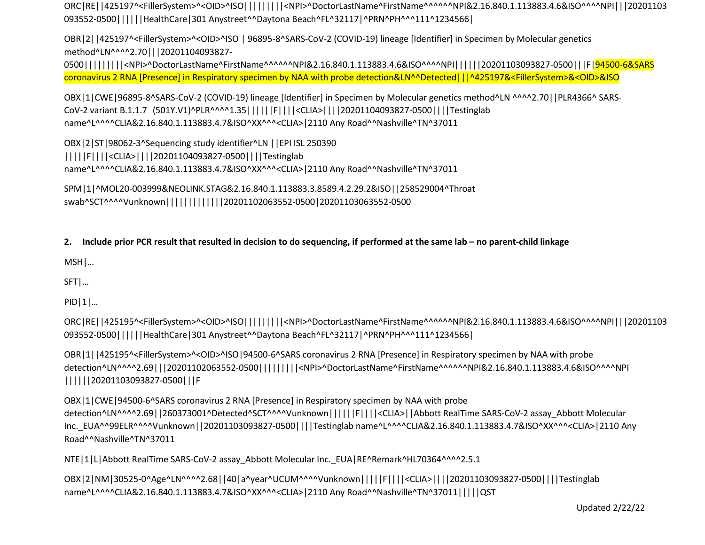ORC|RE||425197^<FillerSystem>^<OID>^ISO|||||||||<NPI>^DoctorLastName^FirstName^^^^^^NPI&2.16.840.1.113883.4.6&ISO^^^^NPI|||20201103 093552-0500||||||HealthCare|301 Anystreet^^Daytona Beach^FL^32117|^PRN^PH^^^111^1234566|

OBR|2||425197^<FillerSystem>^<OID>^ISO | 96895-8^SARS-CoV-2 (COVID-19) lineage [Identifier] in Specimen by Molecular genetics method^LN^^^^2.70|||20201104093827-

0500||||||||<NPI>^DoctorLastName^FirstName^^^^^NPI&2.16.840.1.113883.4.6&ISO^^^^NPI|||||20201103093827-0500|||F|<mark>94500-6&SARS</mark> coronavirus 2 RNA [Presence] in Respiratory specimen by NAA with probe detection&LN^^Detected|||^425197&<FillerSystem>&<OID>&ISO

OBX|1|CWE|96895-8^SARS-CoV-2 (COVID-19) lineage [Identifier] in Specimen by Molecular genetics method^LN ^^^^2.70||PLR4366^ SARS-CoV-2 variant B.1.1.7 (501Y.V1)^PLR^^^^1.35||||||F||||<CLIA>||||20201104093827-0500||||Testinglab name^L^^^^CLIA&2.16.840.1.113883.4.7&ISO^XX^^^<CLIA>|2110 Any Road^^Nashville^TN^37011

OBX|2|ST|98062-3^Sequencing study identifier^LN ||EPI ISL 250390 |||||F||||<CLIA>||||20201104093827-0500||||Testinglab name^L^^^^CLIA&2.16.840.1.113883.4.7&ISO^XX^^^<CLIA>|2110 Any Road^^Nashville^TN^37011

SPM|1|^MOL20-003999&NEOLINK.STAG&2.16.840.1.113883.3.8589.4.2.29.2&ISO||258529004^Throat swab^SCT^^^^Vunknown|||||||||||||20201102063552-0500|20201103063552-0500

#### 2. Include prior PCR result that resulted in decision to do sequencing, if performed at the same lab – no parent-child linkage

MSH|…

SFT|…

PID|1|…

ORC|RE||425195^<FillerSystem>^<OID>^ISO|||||||||<NPI>^DoctorLastName^FirstName^^^^^^NPI&2.16.840.1.113883.4.6&ISO^^^^NPI|||20201103 093552-0500||||||HealthCare|301 Anystreet^^Daytona Beach^FL^32117|^PRN^PH^^^111^1234566|

OBR|1||425195^<FillerSystem>^<OID>^ISO|94500-6^SARS coronavirus 2 RNA [Presence] in Respiratory specimen by NAA with probe detection^LN^^^^2.69|||20201102063552-0500|||||||||<NPI>^DoctorLastName^FirstName^^^^^^NPI&2.16.840.1.113883.4.6&ISO^^^^NPI ||||||20201103093827-0500|||F

OBX|1|CWE|94500-6^SARS coronavirus 2 RNA [Presence] in Respiratory specimen by NAA with probe detection^LN^^^^2.69||260373001^Detected^SCT^^^^Vunknown||||||F||||<CLIA>||Abbott RealTime SARS-CoV-2 assay\_Abbott Molecular Inc.\_EUA^^99ELR^^^^Vunknown||20201103093827-0500||||Testinglab name^L^^^^CLIA&2.16.840.1.113883.4.7&ISO^XX^^^<CLIA>|2110 Any Road^^Nashville^TN^37011

NTE|1|L|Abbott RealTime SARS-CoV-2 assay Abbott Molecular Inc. EUA|RE^Remark^HL70364^^^^2.5.1

OBX|2|NM|30525-0^Age^LN^^^^2.68||40|a^year^UCUM^^^^Vunknown|||||F||||<CLIA>||||20201103093827-0500||||Testinglab name^L^^^^CLIA&2.16.840.1.113883.4.7&ISO^XX^^^<CLIA>|2110 Any Road^^Nashville^TN^37011|||||QST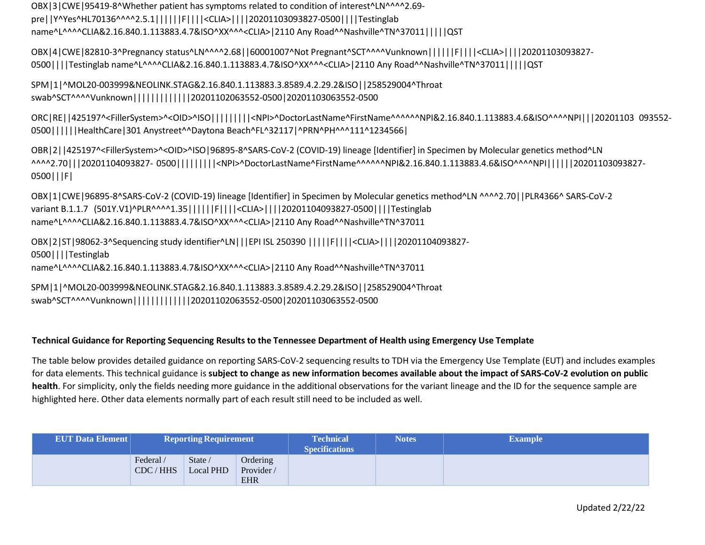OBX|3|CWE|95419-8^Whether patient has symptoms related to condition of interest^LN^^^^2.69 pre||Y^Yes^HL70136^^^^2.5.1||||||F||||<CLIA>||||20201103093827-0500||||Testinglab name^L^^^^CLIA&2.16.840.1.113883.4.7&ISO^XX^^^<CLIA>|2110 Any Road^^Nashville^TN^37011|||||QST

OBX|4|CWE|82810-3^Pregnancy status^LN^^^^2.68||60001007^Not Pregnant^SCT^^^^Vunknown||||||F||||<CLIA>||||20201103093827- 0500||||Testinglab name^L^^^^CLIA&2.16.840.1.113883.4.7&ISO^XX^^^<CLIA>|2110 Any Road^^Nashville^TN^37011|||||QST

SPM|1|^MOL20-003999&NEOLINK.STAG&2.16.840.1.113883.3.8589.4.2.29.2&ISO||258529004^Throat swab^SCT^^^^Vunknown|||||||||||||20201102063552-0500|20201103063552-0500

ORC|RE||425197^<FillerSystem>^<OID>^ISO|||||||||<NPI>^DoctorLastName^FirstName^^^^^^NPI&2.16.840.1.113883.4.6&ISO^^^^NPI|||20201103 093552- 0500||||||HealthCare|301 Anystreet^^Daytona Beach^FL^32117|^PRN^PH^^^111^1234566|

OBR|2||425197^<FillerSystem>^<OID>^ISO|96895-8^SARS-CoV-2 (COVID-19) lineage [Identifier] in Specimen by Molecular genetics method^LN ^^^^2.70|||20201104093827- 0500|||||||||<NPI>^DoctorLastName^FirstName^^^^^^NPI&2.16.840.1.113883.4.6&ISO^^^^NPI||||||20201103093827- 0500|||F|

OBX|1|CWE|96895-8^SARS-CoV-2 (COVID-19) lineage [Identifier] in Specimen by Molecular genetics method^LN ^^^^2.70||PLR4366^ SARS-CoV-2 variant B.1.1.7 (501Y.V1)^PLR^^^^1.35||||||F||||<CLIA>||||20201104093827-0500||||Testinglab name^L^^^^CLIA&2.16.840.1.113883.4.7&ISO^XX^^^<CLIA>|2110 Any Road^^Nashville^TN^37011

OBX|2|ST|98062-3^Sequencing study identifier^LN|||EPI ISL 250390 |||||F||||<CLIA>||||20201104093827- 0500||||Testinglab name^L^^^^CLIA&2.16.840.1.113883.4.7&ISO^XX^^^<CLIA>|2110 Any Road^^Nashville^TN^37011

SPM|1|^MOL20-003999&NEOLINK.STAG&2.16.840.1.113883.3.8589.4.2.29.2&ISO||258529004^Throat swab^SCT^^^^Vunknown|||||||||||||20201102063552-0500|20201103063552-0500

#### **Technical Guidance for Reporting Sequencing Results to the Tennessee Department of Health using Emergency Use Template**

The table below provides detailed guidance on reporting SARS-CoV-2 sequencing results to TDH via the Emergency Use Template (EUT) and includes examples for data elements. This technical guidance is **subject to change as new information becomes available about the impact of SARS-CoV-2 evolution on public health**. For simplicity, only the fields needing more guidance in the additional observations for the variant lineage and the ID for the sequence sample are highlighted here. Other data elements normally part of each result still need to be included as well.

| <b>EUT Data Element</b> | <b>Reporting Requirement</b> |                                    |                       | <b>Technical</b><br><b>Specifications</b> | <b>Notes</b> | <b>Example</b> |
|-------------------------|------------------------------|------------------------------------|-----------------------|-------------------------------------------|--------------|----------------|
|                         | Federal/<br>CDC/HHS          | State $\theta$<br><b>Local PHD</b> | Ordering<br>Provider/ |                                           |              |                |
|                         |                              |                                    | <b>EHR</b>            |                                           |              |                |

Updated 2/22/22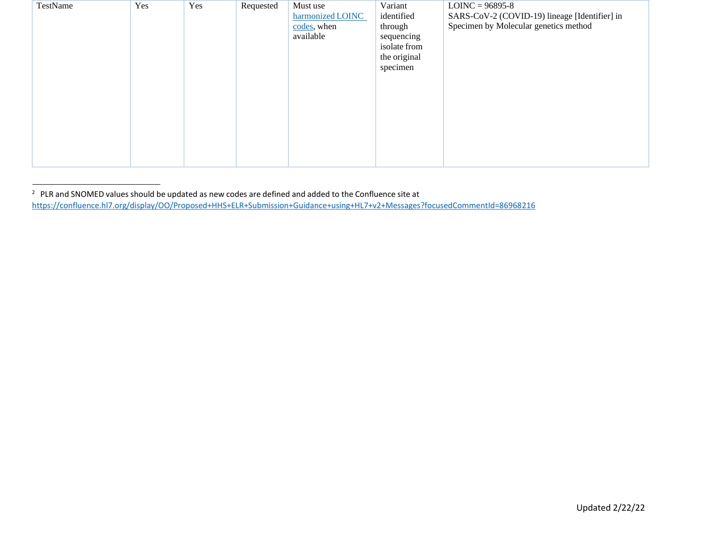| TestName | Yes | Yes | Requested | Must use         | Variant      | $LOINC = 96895-8$                             |
|----------|-----|-----|-----------|------------------|--------------|-----------------------------------------------|
|          |     |     |           | harmonized LOINC | identified   | SARS-CoV-2 (COVID-19) lineage [Identifier] in |
|          |     |     |           | codes, when      | through      | Specimen by Molecular genetics method         |
|          |     |     |           | available        | sequencing   |                                               |
|          |     |     |           |                  | isolate from |                                               |
|          |     |     |           |                  | the original |                                               |
|          |     |     |           |                  | specimen     |                                               |
|          |     |     |           |                  |              |                                               |
|          |     |     |           |                  |              |                                               |
|          |     |     |           |                  |              |                                               |
|          |     |     |           |                  |              |                                               |
|          |     |     |           |                  |              |                                               |
|          |     |     |           |                  |              |                                               |
|          |     |     |           |                  |              |                                               |
|          |     |     |           |                  |              |                                               |
|          |     |     |           |                  |              |                                               |

 $2$  PLR and SNOMED values should be updated as new codes are defined and added to the Confluence site at <https://confluence.hl7.org/display/OO/Proposed+HHS+ELR+Submission+Guidance+using+HL7+v2+Messages?focusedCommentId=86968216>